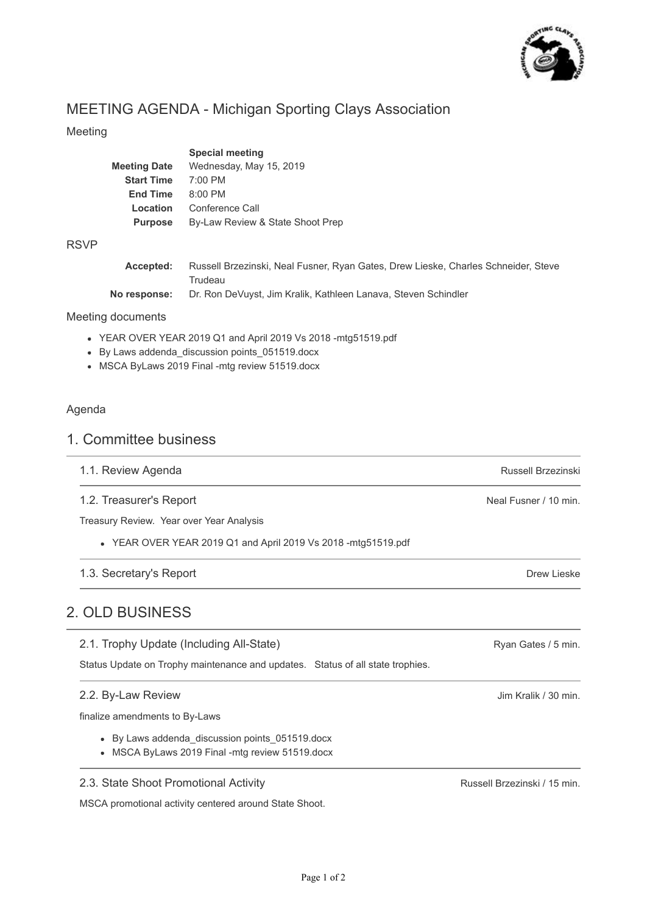

# MEETING AGENDA - Michigan Sporting Clays Association

#### Meeting

|                     | <b>Special meeting</b>           |
|---------------------|----------------------------------|
| <b>Meeting Date</b> | Wednesday, May 15, 2019          |
| <b>Start Time</b>   | $7:00$ PM                        |
| <b>End Time</b>     | $8:00$ PM                        |
| Location            | Conference Call                  |
| <b>Purpose</b>      | By-Law Review & State Shoot Prep |
|                     |                                  |

#### RSVP

| Accepted:    | Russell Brzezinski, Neal Fusner, Ryan Gates, Drew Lieske, Charles Schneider, Steve |
|--------------|------------------------------------------------------------------------------------|
|              | Trudeau                                                                            |
| No response: | Dr. Ron DeVuyst, Jim Kralik, Kathleen Lanava, Steven Schindler                     |

#### Meeting documents

- YEAR OVER YEAR 2019 Q1 and April 2019 Vs 2018 -mtg51519.pdf
- By Laws addenda\_discussion points\_051519.docx
- MSCA ByLaws 2019 Final -mtg review 51519.docx

#### Agenda

### 1. Committee business

- 1.1. Review Agenda
- 1.2. Treasurer's Report

Treasury Review. Year over Year Analysis

YEAR OVER YEAR 2019 Q1 and April 2019 Vs 2018 -mtg51519.pdf

### 1.3. Secretary's Report

## 2. OLD BUSINESS

2.1. Trophy Update (Including All-State)

Status Update on Trophy maintenance and updates. Status of all state trophies.

#### 2.2. By-Law Review

finalize amendments to By-Laws

- By Laws addenda\_discussion points\_051519.docx
- MSCA ByLaws 2019 Final -mtg review 51519.docx

2.3. State Shoot Promotional Activity

MSCA promotional activity centered around State Shoot.

Russell Brzezinski / 15 min.

Russell Brzezinski

Neal Fusner / 10 min.

Drew Lieske

Ryan Gates / 5 min.

Jim Kralik / 30 min.